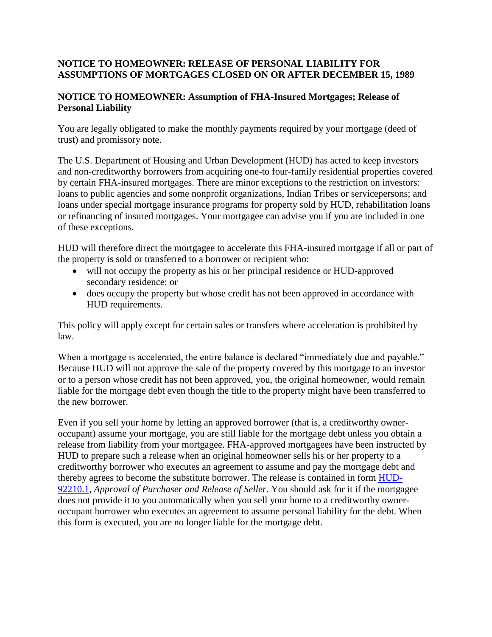## **NOTICE TO HOMEOWNER: RELEASE OF PERSONAL LIABILITY FOR ASSUMPTIONS OF MORTGAGES CLOSED ON OR AFTER DECEMBER 15, 1989**

## **NOTICE TO HOMEOWNER: Assumption of FHA-Insured Mortgages; Release of Personal Liability**

You are legally obligated to make the monthly payments required by your mortgage (deed of trust) and promissory note.

The U.S. Department of Housing and Urban Development (HUD) has acted to keep investors and non-creditworthy borrowers from acquiring one-to four-family residential properties covered by certain FHA-insured mortgages. There are minor exceptions to the restriction on investors: loans to public agencies and some nonprofit organizations, Indian Tribes or servicepersons; and loans under special mortgage insurance programs for property sold by HUD, rehabilitation loans or refinancing of insured mortgages. Your mortgagee can advise you if you are included in one of these exceptions.

HUD will therefore direct the mortgagee to accelerate this FHA-insured mortgage if all or part of the property is sold or transferred to a borrower or recipient who:

- will not occupy the property as his or her principal residence or HUD-approved secondary residence; or
- does occupy the property but whose credit has not been approved in accordance with HUD requirements.

This policy will apply except for certain sales or transfers where acceleration is prohibited by law.

When a mortgage is accelerated, the entire balance is declared "immediately due and payable." Because HUD will not approve the sale of the property covered by this mortgage to an investor or to a person whose credit has not been approved, you, the original homeowner, would remain liable for the mortgage debt even though the title to the property might have been transferred to the new borrower.

Even if you sell your home by letting an approved borrower (that is, a creditworthy owneroccupant) assume your mortgage, you are still liable for the mortgage debt unless you obtain a release from liability from your mortgagee. FHA-approved mortgagees have been instructed by HUD to prepare such a release when an original homeowner sells his or her property to a creditworthy borrower who executes an agreement to assume and pay the mortgage debt and thereby agrees to become the substitute borrower. The release is contained in form [HUD-](http://portal.hud.gov/hudportal/HUD?src=/program_offices/administration/hudclips/forms/hud9a)[92210.1,](http://portal.hud.gov/hudportal/HUD?src=/program_offices/administration/hudclips/forms/hud9a) *Approval of Purchaser and Release of Seller*. You should ask for it if the mortgagee does not provide it to you automatically when you sell your home to a creditworthy owneroccupant borrower who executes an agreement to assume personal liability for the debt. When this form is executed, you are no longer liable for the mortgage debt.